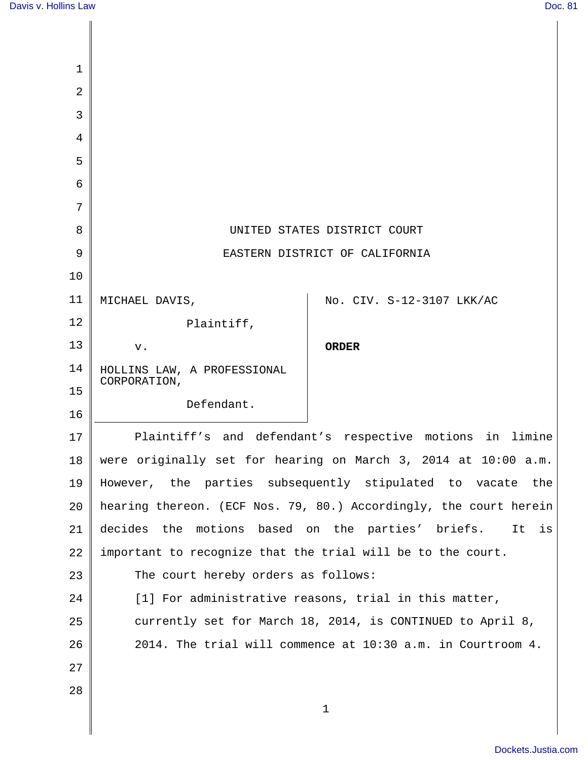$\mathbf{l}$ 

| $\mathbf 1$    |                                                                   |                           |
|----------------|-------------------------------------------------------------------|---------------------------|
| $\overline{2}$ |                                                                   |                           |
| 3              |                                                                   |                           |
| $\overline{4}$ |                                                                   |                           |
| 5              |                                                                   |                           |
| 6              |                                                                   |                           |
| 7              |                                                                   |                           |
| 8              | UNITED STATES DISTRICT COURT                                      |                           |
| 9              | EASTERN DISTRICT OF CALIFORNIA                                    |                           |
| 10             |                                                                   |                           |
| 11             | MICHAEL DAVIS,                                                    | No. CIV. S-12-3107 LKK/AC |
| 12             | Plaintiff,                                                        |                           |
| 13             | v.                                                                | <b>ORDER</b>              |
| 14             | HOLLINS LAW, A PROFESSIONAL<br>CORPORATION,                       |                           |
| 15             | Defendant.                                                        |                           |
| 16             |                                                                   |                           |
| 17             | Plaintiff's and defendant's respective motions in limine          |                           |
| 18             | were originally set for hearing on March 3, 2014 at 10:00 a.m.    |                           |
| 19             | However, the parties subsequently stipulated to vacate<br>the     |                           |
| 20             | hearing thereon. (ECF Nos. 79, 80.) Accordingly, the court herein |                           |
| 21             | decides the motions based on the parties' briefs.<br>It<br>is     |                           |
| 22             | important to recognize that the trial will be to the court.       |                           |
| 23             | The court hereby orders as follows:                               |                           |
| 24             | [1] For administrative reasons, trial in this matter,             |                           |
| 25             | currently set for March 18, 2014, is CONTINUED to April 8,        |                           |
| 26             | 2014. The trial will commence at 10:30 a.m. in Courtroom 4.       |                           |
| 27             |                                                                   |                           |
| 28             |                                                                   |                           |
|                | $\mathbf 1$                                                       |                           |
|                |                                                                   |                           |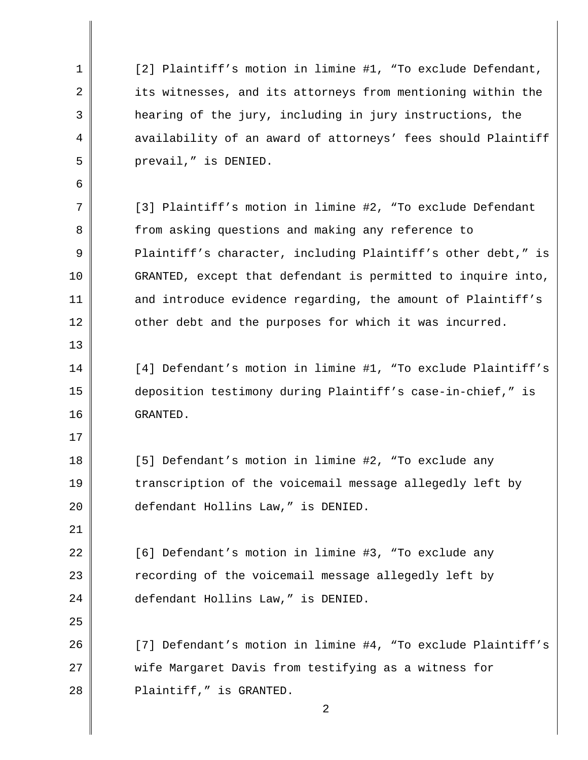1 2 3 4 5 6 7 8 9 10 11 12 13 14 15 16 17 18 19 20 21 22 23 24 25 26 27 [2] Plaintiff's motion in limine #1, "To exclude Defendant, its witnesses, and its attorneys from mentioning within the hearing of the jury, including in jury instructions, the availability of an award of attorneys' fees should Plaintiff prevail," is DENIED. [3] Plaintiff's motion in limine #2, "To exclude Defendant from asking questions and making any reference to Plaintiff's character, including Plaintiff's other debt," is GRANTED, except that defendant is permitted to inquire into, and introduce evidence regarding, the amount of Plaintiff's other debt and the purposes for which it was incurred. [4] Defendant's motion in limine #1, "To exclude Plaintiff's deposition testimony during Plaintiff's case-in-chief," is GRANTED. [5] Defendant's motion in limine #2, "To exclude any transcription of the voicemail message allegedly left by defendant Hollins Law," is DENIED. [6] Defendant's motion in limine #3, "To exclude any recording of the voicemail message allegedly left by defendant Hollins Law," is DENIED. [7] Defendant's motion in limine #4, "To exclude Plaintiff's wife Margaret Davis from testifying as a witness for

2

Plaintiff," is GRANTED.

28